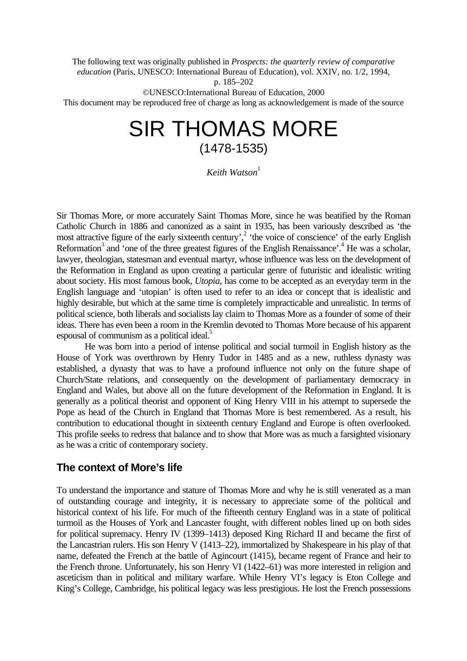The following text was originally published in *Prospects: the quarterly review of comparative education* (Paris, UNESCO: International Bureau of Education), vol. XXIV, no. 1/2, 1994,

p. 185–202

©UNESCO:International Bureau of Education, 2000 This document may be reproduced free of charge as long as acknowledgement is made of the source

# SIR THOMAS MORE (1478-1535)

*Keith Watson*<sup>1</sup>

Sir Thomas More, or more accurately Saint Thomas More, since he was beatified by the Roman Catholic Church in 1886 and canonized as a saint in 1935, has been variously described as 'the most attractive figure of the early sixteenth century',<sup>2</sup> 'the voice of conscience' of the early English Reformation<sup>3</sup> and 'one of the three greatest figures of the English Renaissance'.<sup>4</sup> He was a scholar, lawyer, theologian, statesman and eventual martyr, whose influence was less on the development of the Reformation in England as upon creating a particular genre of futuristic and idealistic writing about society. His most famous book, *Utopia*, has come to be accepted as an everyday term in the English language and 'utopian' is often used to refer to an idea or concept that is idealistic and highly desirable, but which at the same time is completely impracticable and unrealistic. In terms of political science, both liberals and socialists lay claim to Thomas More as a founder of some of their ideas. There has even been a room in the Kremlin devoted to Thomas More because of his apparent espousal of communism as a political ideal.<sup>5</sup>

He was born into a period of intense political and social turmoil in English history as the House of York was overthrown by Henry Tudor in 1485 and as a new, ruthless dynasty was established, a dynasty that was to have a profound influence not only on the future shape of Church/State relations, and consequently on the development of parliamentary democracy in England and Wales, but above all on the future development of the Reformation in England. It is generally as a political theorist and opponent of King Henry VIII in his attempt to supersede the Pope as head of the Church in England that Thomas More is best remembered. As a result, his contribution to educational thought in sixteenth century England and Europe is often overlooked. This profile seeks to redress that balance and to show that More was as much a farsighted visionary as he was a critic of contemporary society.

# **The context of More's life**

To understand the importance and stature of Thomas More and why he is still venerated as a man of outstanding courage and integrity, it is necessary to appreciate some of the political and historical context of his life. For much of the fifteenth century England was in a state of political turmoil as the Houses of York and Lancaster fought, with different nobles lined up on both sides for political supremacy. Henry IV (1399–1413) deposed King Richard II and became the first of the Lancastrian rulers. His son Henry V (1413–22), immortalized by Shakespeare in his play of that name, defeated the French at the battle of Agincourt (1415), became regent of France and heir to the French throne. Unfortunately, his son Henry VI (1422–61) was more interested in religion and asceticism than in political and military warfare. While Henry VI's legacy is Eton College and King's College, Cambridge, his political legacy was less prestigious. He lost the French possessions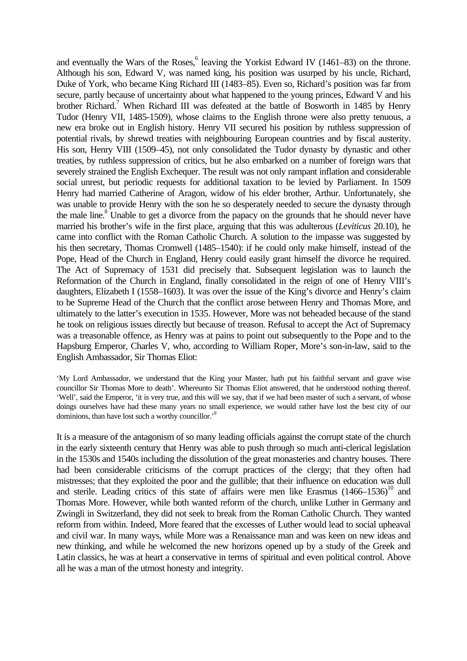and eventually the Wars of the Roses,  $6$  leaving the Yorkist Edward IV (1461–83) on the throne. Although his son, Edward V, was named king, his position was usurped by his uncle, Richard, Duke of York, who became King Richard III (1483–85). Even so, Richard's position was far from secure, partly because of uncertainty about what happened to the young princes, Edward V and his brother Richard.<sup>7</sup> When Richard III was defeated at the battle of Bosworth in 1485 by Henry Tudor (Henry VII, 1485-1509), whose claims to the English throne were also pretty tenuous, a new era broke out in English history. Henry VII secured his position by ruthless suppression of potential rivals, by shrewd treaties with neighbouring European countries and by fiscal austerity. His son, Henry VIII (1509–45), not only consolidated the Tudor dynasty by dynastic and other treaties, by ruthless suppression of critics, but he also embarked on a number of foreign wars that severely strained the English Exchequer. The result was not only rampant inflation and considerable social unrest, but periodic requests for additional taxation to be levied by Parliament. In 1509 Henry had married Catherine of Aragon, widow of his elder brother, Arthur. Unfortunately, she was unable to provide Henry with the son he so desperately needed to secure the dynasty through the male line.<sup>8</sup> Unable to get a divorce from the papacy on the grounds that he should never have married his brother's wife in the first place, arguing that this was adulterous (*Leviticus* 20.10), he came into conflict with the Roman Catholic Church. A solution to the impasse was suggested by his then secretary, Thomas Cromwell (1485–1540): if he could only make himself, instead of the Pope, Head of the Church in England, Henry could easily grant himself the divorce he required. The Act of Supremacy of 1531 did precisely that. Subsequent legislation was to launch the Reformation of the Church in England, finally consolidated in the reign of one of Henry VIII's daughters, Elizabeth I (1558–1603). It was over the issue of the King's divorce and Henry's claim to be Supreme Head of the Church that the conflict arose between Henry and Thomas More, and ultimately to the latter's execution in 1535. However, More was not beheaded because of the stand he took on religious issues directly but because of treason. Refusal to accept the Act of Supremacy was a treasonable offence, as Henry was at pains to point out subsequently to the Pope and to the Hapsburg Emperor, Charles V, who, according to William Roper, More's son-in-law, said to the English Ambassador, Sir Thomas Eliot:

'My Lord Ambassador, we understand that the King your Master, hath put his faithful servant and grave wise councillor Sir Thomas More to death'. Whereunto Sir Thomas Eliot answered, that he understood nothing thereof. 'Well', said the Emperor, 'it is very true, and this will we say, that if we had been master of such a servant, of whose doings ourselves have had these many years no small experience, we would rather have lost the best city of our dominions, than have lost such a worthy councillor.'<sup>9</sup>

It is a measure of the antagonism of so many leading officials against the corrupt state of the church in the early sixteenth century that Henry was able to push through so much anti-clerical legislation in the 1530s and 1540s including the dissolution of the great monasteries and chantry houses. There had been considerable criticisms of the corrupt practices of the clergy; that they often had mistresses; that they exploited the poor and the gullible; that their influence on education was dull and sterile. Leading critics of this state of affairs were men like Erasmus (1466–1536)<sup>10</sup> and Thomas More. However, while both wanted reform of the church, unlike Luther in Germany and Zwingli in Switzerland, they did not seek to break from the Roman Catholic Church. They wanted reform from within. Indeed, More feared that the excesses of Luther would lead to social upheaval and civil war. In many ways, while More was a Renaissance man and was keen on new ideas and new thinking, and while he welcomed the new horizons opened up by a study of the Greek and Latin classics, he was at heart a conservative in terms of spiritual and even political control. Above all he was a man of the utmost honesty and integrity.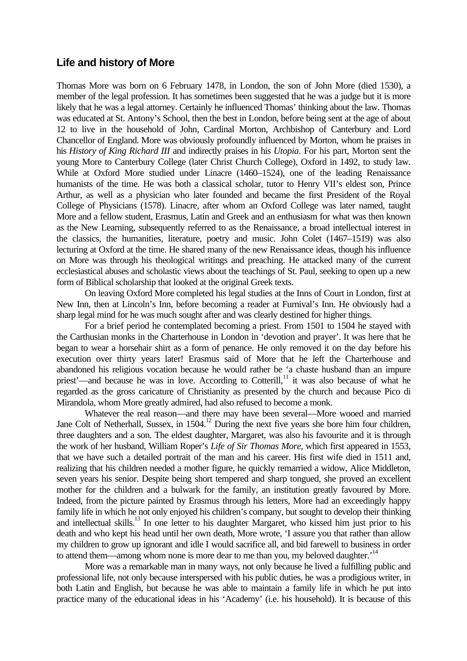## **Life and history of More**

Thomas More was born on 6 February 1478, in London, the son of John More (died 1530), a member of the legal profession. It has sometimes been suggested that he was a judge but it is more likely that he was a legal attorney. Certainly he influenced Thomas' thinking about the law. Thomas was educated at St. Antony's School, then the best in London, before being sent at the age of about 12 to live in the household of John, Cardinal Morton, Archbishop of Canterbury and Lord Chancellor of England. More was obviously profoundly influenced by Morton, whom he praises in his *History of King Richard III* and indirectly praises in his *Utopia*. For his part, Morton sent the young More to Canterbury College (later Christ Church College), Oxford in 1492, to study law. While at Oxford More studied under Linacre (1460–1524), one of the leading Renaissance humanists of the time. He was both a classical scholar, tutor to Henry VII's eldest son, Prince Arthur, as well as a physician who later founded and became the first President of the Royal College of Physicians (1578). Linacre, after whom an Oxford College was later named, taught More and a fellow student, Erasmus, Latin and Greek and an enthusiasm for what was then known as the New Learning, subsequently referred to as the Renaissance, a broad intellectual interest in the classics, the humanities, literature, poetry and music. John Colet (1467–1519) was also lecturing at Oxford at the time. He shared many of the new Renaissance ideas, though his influence on More was through his theological writings and preaching. He attacked many of the current ecclesiastical abuses and scholastic views about the teachings of St. Paul, seeking to open up a new form of Biblical scholarship that looked at the original Greek texts.

On leaving Oxford More completed his legal studies at the Inns of Court in London, first at New Inn, then at Lincoln's Inn, before becoming a reader at Furnival's Inn. He obviously had a sharp legal mind for he was much sought after and was clearly destined for higher things.

For a brief period he contemplated becoming a priest. From 1501 to 1504 he stayed with the Carthusian monks in the Charterhouse in London in 'devotion and prayer'. It was here that he began to wear a horsehair shirt as a form of penance. He only removed it on the day before his execution over thirty years later! Erasmus said of More that he left the Charterhouse and abandoned his religious vocation because he would rather be 'a chaste husband than an impure priest'—and because he was in love. According to Cotterill,<sup>11</sup> it was also because of what he regarded as the gross caricature of Christianity as presented by the church and because Pico di Mirandola, whom More greatly admired, had also refused to become a monk.

Whatever the real reason—and there may have been several—More wooed and married Jane Colt of Netherhall, Sussex, in  $1504$ <sup>12</sup> During the next five years she bore him four children, three daughters and a son. The eldest daughter, Margaret, was also his favourite and it is through the work of her husband, William Roper's *Life of Sir Thomas More*, which first appeared in 1553, that we have such a detailed portrait of the man and his career. His first wife died in 1511 and, realizing that his children needed a mother figure, he quickly remarried a widow, Alice Middleton, seven years his senior. Despite being short tempered and sharp tongued, she proved an excellent mother for the children and a bulwark for the family, an institution greatly favoured by More. Indeed, from the picture painted by Erasmus through his letters, More had an exceedingly happy family life in which he not only enjoyed his children's company, but sought to develop their thinking and intellectual skills.<sup>13</sup> In one letter to his daughter Margaret, who kissed him just prior to his death and who kept his head until her own death, More wrote, 'I assure you that rather than allow my children to grow up ignorant and idle I would sacrifice all, and bid farewell to business in order to attend them—among whom none is more dear to me than you, my beloved daughter.<sup>14</sup>

More was a remarkable man in many ways, not only because he lived a fulfilling public and professional life, not only because interspersed with his public duties, he was a prodigious writer, in both Latin and English, but because he was able to maintain a family life in which he put into practice many of the educational ideas in his 'Academy' (i.e. his household). It is because of this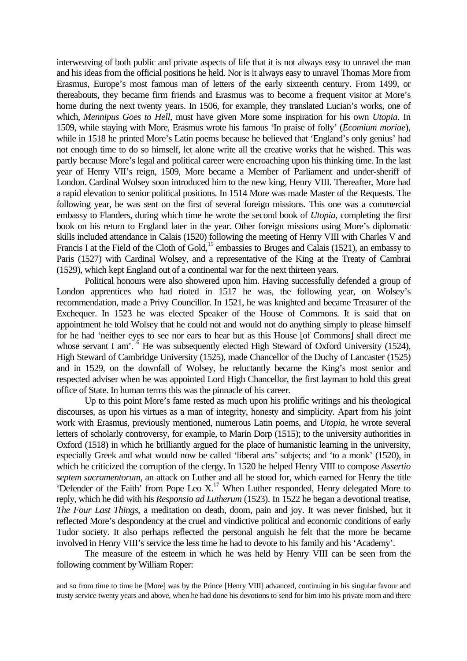interweaving of both public and private aspects of life that it is not always easy to unravel the man and his ideas from the official positions he held. Nor is it always easy to unravel Thomas More from Erasmus, Europe's most famous man of letters of the early sixteenth century. From 1499, or thereabouts, they became firm friends and Erasmus was to become a frequent visitor at More's home during the next twenty years. In 1506, for example, they translated Lucian's works, one of which, *Mennipus Goes to Hell*, must have given More some inspiration for his own *Utopia*. In 1509, while staying with More, Erasmus wrote his famous 'In praise of folly' (*Ecomium moriae*), while in 1518 he printed More's Latin poems because he believed that 'England's only genius' had not enough time to do so himself, let alone write all the creative works that he wished. This was partly because More's legal and political career were encroaching upon his thinking time. In the last year of Henry VII's reign, 1509, More became a Member of Parliament and under-sheriff of London. Cardinal Wolsey soon introduced him to the new king, Henry VIII. Thereafter, More had a rapid elevation to senior political positions. In 1514 More was made Master of the Requests. The following year, he was sent on the first of several foreign missions. This one was a commercial embassy to Flanders, during which time he wrote the second book of *Utopia*, completing the first book on his return to England later in the year. Other foreign missions using More's diplomatic skills included attendance in Calais (1520) following the meeting of Henry VIII with Charles V and Francis I at the Field of the Cloth of Gold,<sup>15</sup> embassies to Bruges and Calais (1521), an embassy to Paris (1527) with Cardinal Wolsey, and a representative of the King at the Treaty of Cambrai (1529), which kept England out of a continental war for the next thirteen years.

Political honours were also showered upon him. Having successfully defended a group of London apprentices who had rioted in 1517 he was, the following year, on Wolsey's recommendation, made a Privy Councillor. In 1521, he was knighted and became Treasurer of the Exchequer. In 1523 he was elected Speaker of the House of Commons. It is said that on appointment he told Wolsey that he could not and would not do anything simply to please himself for he had 'neither eyes to see nor ears to hear but as this House [of Commons] shall direct me whose servant I am<sup>'16</sup> He was subsequently elected High Steward of Oxford University (1524), High Steward of Cambridge University (1525), made Chancellor of the Duchy of Lancaster (1525) and in 1529, on the downfall of Wolsey, he reluctantly became the King's most senior and respected adviser when he was appointed Lord High Chancellor, the first layman to hold this great office of State. In human terms this was the pinnacle of his career.

Up to this point More's fame rested as much upon his prolific writings and his theological discourses, as upon his virtues as a man of integrity, honesty and simplicity. Apart from his joint work with Erasmus, previously mentioned, numerous Latin poems, and *Utopia*, he wrote several letters of scholarly controversy, for example, to Marin Dorp (1515); to the university authorities in Oxford (1518) in which he brilliantly argued for the place of humanistic learning in the university, especially Greek and what would now be called 'liberal arts' subjects; and 'to a monk' (1520), in which he criticized the corruption of the clergy. In 1520 he helped Henry VIII to compose *Assertio septem sacramentorum*, an attack on Luther and all he stood for, which earned for Henry the title 'Defender of the Faith' from Pope Leo X.<sup>17</sup> When Luther responded, Henry delegated More to reply, which he did with his *Responsio ad Lutherum* (1523). In 1522 he began a devotional treatise, *The Four Last Things*, a meditation on death, doom, pain and joy. It was never finished, but it reflected More's despondency at the cruel and vindictive political and economic conditions of early Tudor society. It also perhaps reflected the personal anguish he felt that the more he became involved in Henry VIII's service the less time he had to devote to his family and his 'Academy'.

The measure of the esteem in which he was held by Henry VIII can be seen from the following comment by William Roper:

and so from time to time he [More] was by the Prince [Henry VIII] advanced, continuing in his singular favour and trusty service twenty years and above, when he had done his devotions to send for him into his private room and there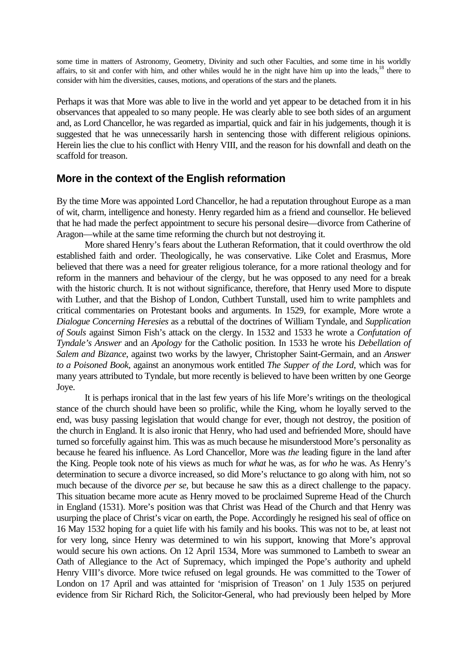some time in matters of Astronomy, Geometry, Divinity and such other Faculties, and some time in his worldly affairs, to sit and confer with him, and other whiles would he in the night have him up into the leads, $18$  there to consider with him the diversities, causes, motions, and operations of the stars and the planets.

Perhaps it was that More was able to live in the world and yet appear to be detached from it in his observances that appealed to so many people. He was clearly able to see both sides of an argument and, as Lord Chancellor, he was regarded as impartial, quick and fair in his judgements, though it is suggested that he was unnecessarily harsh in sentencing those with different religious opinions. Herein lies the clue to his conflict with Henry VIII, and the reason for his downfall and death on the scaffold for treason.

# **More in the context of the English reformation**

By the time More was appointed Lord Chancellor, he had a reputation throughout Europe as a man of wit, charm, intelligence and honesty. Henry regarded him as a friend and counsellor. He believed that he had made the perfect appointment to secure his personal desire—divorce from Catherine of Aragon—while at the same time reforming the church but not destroying it.

More shared Henry's fears about the Lutheran Reformation, that it could overthrow the old established faith and order. Theologically, he was conservative. Like Colet and Erasmus, More believed that there was a need for greater religious tolerance, for a more rational theology and for reform in the manners and behaviour of the clergy, but he was opposed to any need for a break with the historic church. It is not without significance, therefore, that Henry used More to dispute with Luther, and that the Bishop of London, Cuthbert Tunstall, used him to write pamphlets and critical commentaries on Protestant books and arguments. In 1529, for example, More wrote a *Dialogue Concerning Heresies* as a rebuttal of the doctrines of William Tyndale, and *Supplication of Souls* against Simon Fish's attack on the clergy. In 1532 and 1533 he wrote a *Confutation of Tyndale's Answer* and an *Apology* for the Catholic position. In 1533 he wrote his *Debellation of Salem and Bizance*, against two works by the lawyer, Christopher Saint-Germain, and an *Answer to a Poisoned Book*, against an anonymous work entitled *The Supper of the Lord*, which was for many years attributed to Tyndale, but more recently is believed to have been written by one George Joye.

It is perhaps ironical that in the last few years of his life More's writings on the theological stance of the church should have been so prolific, while the King, whom he loyally served to the end, was busy passing legislation that would change for ever, though not destroy, the position of the church in England. It is also ironic that Henry, who had used and befriended More, should have turned so forcefully against him. This was as much because he misunderstood More's personality as because he feared his influence. As Lord Chancellor, More was *the* leading figure in the land after the King. People took note of his views as much for *what* he was, as for *who* he was. As Henry's determination to secure a divorce increased, so did More's reluctance to go along with him, not so much because of the divorce *per se*, but because he saw this as a direct challenge to the papacy. This situation became more acute as Henry moved to be proclaimed Supreme Head of the Church in England (1531). More's position was that Christ was Head of the Church and that Henry was usurping the place of Christ's vicar on earth, the Pope. Accordingly he resigned his seal of office on 16 May 1532 hoping for a quiet life with his family and his books. This was not to be, at least not for very long, since Henry was determined to win his support, knowing that More's approval would secure his own actions. On 12 April 1534, More was summoned to Lambeth to swear an Oath of Allegiance to the Act of Supremacy, which impinged the Pope's authority and upheld Henry VIII's divorce. More twice refused on legal grounds. He was committed to the Tower of London on 17 April and was attainted for 'misprision of Treason' on 1 July 1535 on perjured evidence from Sir Richard Rich, the Solicitor-General, who had previously been helped by More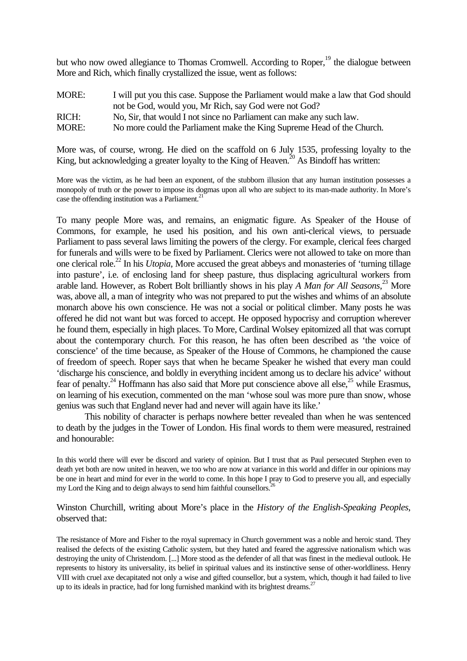but who now owed allegiance to Thomas Cromwell. According to Roper,<sup>19</sup> the dialogue between More and Rich, which finally crystallized the issue, went as follows:

MORE: I will put you this case. Suppose the Parliament would make a law that God should not be God, would you, Mr Rich, say God were not God? RICH: No, Sir, that would I not since no Parliament can make any such law. MORE: No more could the Parliament make the King Supreme Head of the Church.

More was, of course, wrong. He died on the scaffold on 6 July 1535, professing loyalty to the King, but acknowledging a greater loyalty to the King of Heaven.<sup>20</sup> As Bindoff has written:

More was the victim, as he had been an exponent, of the stubborn illusion that any human institution possesses a monopoly of truth or the power to impose its dogmas upon all who are subject to its man-made authority. In More's case the offending institution was a Parliament.<sup>2</sup>

To many people More was, and remains, an enigmatic figure. As Speaker of the House of Commons, for example, he used his position, and his own anti-clerical views, to persuade Parliament to pass several laws limiting the powers of the clergy. For example, clerical fees charged for funerals and wills were to be fixed by Parliament. Clerics were not allowed to take on more than one clerical role.<sup>22</sup> In his *Utopia*, More accused the great abbeys and monasteries of 'turning tillage into pasture', i.e. of enclosing land for sheep pasture, thus displacing agricultural workers from arable land. However, as Robert Bolt brilliantly shows in his play *A Man for All Seasons*, <sup>23</sup> More was, above all, a man of integrity who was not prepared to put the wishes and whims of an absolute monarch above his own conscience. He was not a social or political climber. Many posts he was offered he did not want but was forced to accept. He opposed hypocrisy and corruption wherever he found them, especially in high places. To More, Cardinal Wolsey epitomized all that was corrupt about the contemporary church. For this reason, he has often been described as 'the voice of conscience' of the time because, as Speaker of the House of Commons, he championed the cause of freedom of speech. Roper says that when he became Speaker he wished that every man could 'discharge his conscience, and boldly in everything incident among us to declare his advice' without fear of penalty.<sup>24</sup> Hoffmann has also said that More put conscience above all else,<sup>25</sup> while Erasmus, on learning of his execution, commented on the man 'whose soul was more pure than snow, whose genius was such that England never had and never will again have its like.'

This nobility of character is perhaps nowhere better revealed than when he was sentenced to death by the judges in the Tower of London. His final words to them were measured, restrained and honourable:

In this world there will ever be discord and variety of opinion. But I trust that as Paul persecuted Stephen even to death yet both are now united in heaven, we too who are now at variance in this world and differ in our opinions may be one in heart and mind for ever in the world to come. In this hope I pray to God to preserve you all, and especially my Lord the King and to deign always to send him faithful counsellors.<sup>2</sup>

Winston Churchill, writing about More's place in the *History of the English-Speaking Peoples*, observed that:

The resistance of More and Fisher to the royal supremacy in Church government was a noble and heroic stand. They realised the defects of the existing Catholic system, but they hated and feared the aggressive nationalism which was destroying the unity of Christendom. [...] More stood as the defender of all that was finest in the medieval outlook. He represents to history its universality, its belief in spiritual values and its instinctive sense of other-worldliness. Henry VIII with cruel axe decapitated not only a wise and gifted counsellor, but a system, which, though it had failed to live up to its ideals in practice, had for long furnished mankind with its brightest dreams.<sup>27</sup>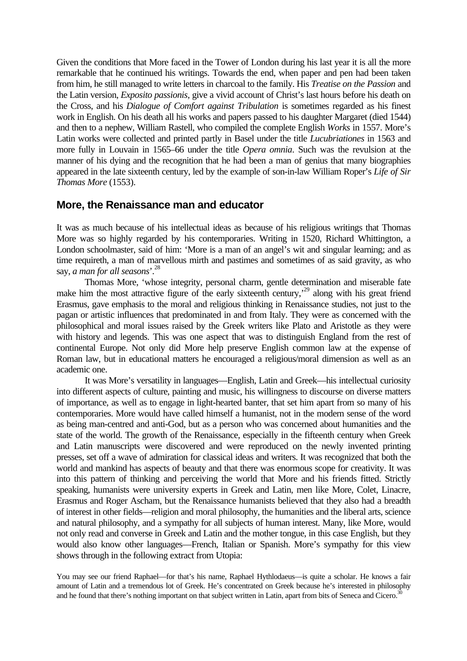Given the conditions that More faced in the Tower of London during his last year it is all the more remarkable that he continued his writings. Towards the end, when paper and pen had been taken from him, he still managed to write letters in charcoal to the family. His *Treatise on the Passion* and the Latin version, *Exposito passionis*, give a vivid account of Christ's last hours before his death on the Cross, and his *Dialogue of Comfort against Tribulation* is sometimes regarded as his finest work in English. On his death all his works and papers passed to his daughter Margaret (died 1544) and then to a nephew, William Rastell, who compiled the complete English *Works* in 1557. More's Latin works were collected and printed partly in Basel under the title *Lucubriationes* in 1563 and more fully in Louvain in 1565–66 under the title *Opera omnia*. Such was the revulsion at the manner of his dying and the recognition that he had been a man of genius that many biographies appeared in the late sixteenth century, led by the example of son-in-law William Roper's *Life of Sir Thomas More* (1553).

### **More, the Renaissance man and educator**

It was as much because of his intellectual ideas as because of his religious writings that Thomas More was so highly regarded by his contemporaries. Writing in 1520, Richard Whittington, a London schoolmaster, said of him: 'More is a man of an angel's wit and singular learning; and as time requireth, a man of marvellous mirth and pastimes and sometimes of as said gravity, as who say, *a man for all seasons*'. 28

Thomas More, 'whose integrity, personal charm, gentle determination and miserable fate make him the most attractive figure of the early sixteenth century,<sup> $29$ </sup> along with his great friend Erasmus, gave emphasis to the moral and religious thinking in Renaissance studies, not just to the pagan or artistic influences that predominated in and from Italy. They were as concerned with the philosophical and moral issues raised by the Greek writers like Plato and Aristotle as they were with history and legends. This was one aspect that was to distinguish England from the rest of continental Europe. Not only did More help preserve English common law at the expense of Roman law, but in educational matters he encouraged a religious/moral dimension as well as an academic one.

It was More's versatility in languages—English, Latin and Greek—his intellectual curiosity into different aspects of culture, painting and music, his willingness to discourse on diverse matters of importance, as well as to engage in light-hearted banter, that set him apart from so many of his contemporaries. More would have called himself a humanist, not in the modern sense of the word as being man-centred and anti-God, but as a person who was concerned about humanities and the state of the world. The growth of the Renaissance, especially in the fifteenth century when Greek and Latin manuscripts were discovered and were reproduced on the newly invented printing presses, set off a wave of admiration for classical ideas and writers. It was recognized that both the world and mankind has aspects of beauty and that there was enormous scope for creativity. It was into this pattern of thinking and perceiving the world that More and his friends fitted. Strictly speaking, humanists were university experts in Greek and Latin, men like More, Colet, Linacre, Erasmus and Roger Ascham, but the Renaissance humanists believed that they also had a breadth of interest in other fields—religion and moral philosophy, the humanities and the liberal arts, science and natural philosophy, and a sympathy for all subjects of human interest. Many, like More, would not only read and converse in Greek and Latin and the mother tongue, in this case English, but they would also know other languages—French, Italian or Spanish. More's sympathy for this view shows through in the following extract from Utopia:

You may see our friend Raphael—for that's his name, Raphael Hythlodaeus—is quite a scholar. He knows a fair amount of Latin and a tremendous lot of Greek. He's concentrated on Greek because he's interested in philosophy and he found that there's nothing important on that subject written in Latin, apart from bits of Seneca and Cicero.<sup>3</sup>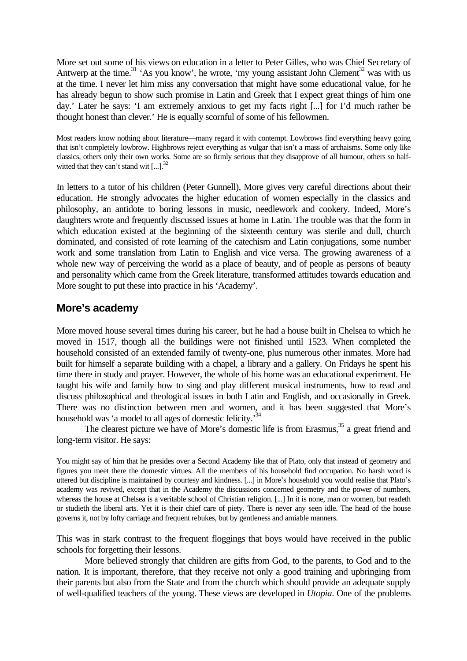More set out some of his views on education in a letter to Peter Gilles, who was Chief Secretary of Antwerp at the time.<sup>31</sup> 'As you know', he wrote, 'my young assistant John Clement<sup>32</sup> was with us at the time. I never let him miss any conversation that might have some educational value, for he has already begun to show such promise in Latin and Greek that I expect great things of him one day.' Later he says: 'I am extremely anxious to get my facts right [...] for I'd much rather be thought honest than clever.' He is equally scornful of some of his fellowmen.

Most readers know nothing about literature—many regard it with contempt. Lowbrows find everything heavy going that isn't completely lowbrow. Highbrows reject everything as vulgar that isn't a mass of archaisms. Some only like classics, others only their own works. Some are so firmly serious that they disapprove of all humour, others so halfwitted that they can't stand wit  $\left[...\right]$ .<sup>32</sup>

In letters to a tutor of his children (Peter Gunnell), More gives very careful directions about their education. He strongly advocates the higher education of women especially in the classics and philosophy, an antidote to boring lessons in music, needlework and cookery. Indeed, More's daughters wrote and frequently discussed issues at home in Latin. The trouble was that the form in which education existed at the beginning of the sixteenth century was sterile and dull, church dominated, and consisted of rote learning of the catechism and Latin conjugations, some number work and some translation from Latin to English and vice versa. The growing awareness of a whole new way of perceiving the world as a place of beauty, and of people as persons of beauty and personality which came from the Greek literature, transformed attitudes towards education and More sought to put these into practice in his 'Academy'.

## **More's academy**

More moved house several times during his career, but he had a house built in Chelsea to which he moved in 1517, though all the buildings were not finished until 1523. When completed the household consisted of an extended family of twenty-one, plus numerous other inmates. More had built for himself a separate building with a chapel, a library and a gallery. On Fridays he spent his time there in study and prayer. However, the whole of his home was an educational experiment. He taught his wife and family how to sing and play different musical instruments, how to read and discuss philosophical and theological issues in both Latin and English, and occasionally in Greek. There was no distinction between men and women, and it has been suggested that More's household was 'a model to all ages of domestic felicity.<sup>34</sup>

The clearest picture we have of More's domestic life is from Erasmus,<sup>35</sup> a great friend and long-term visitor. He says:

You might say of him that he presides over a Second Academy like that of Plato, only that instead of geometry and figures you meet there the domestic virtues. All the members of his household find occupation. No harsh word is uttered but discipline is maintained by courtesy and kindness. [...] in More's household you would realise that Plato's academy was revived, except that in the Academy the discussions concerned geometry and the power of numbers, whereas the house at Chelsea is a veritable school of Christian religion. [...] In it is none, man or women, but readeth or studieth the liberal arts. Yet it is their chief care of piety. There is never any seen idle. The head of the house governs it, not by lofty carriage and frequent rebukes, but by gentleness and amiable manners.

This was in stark contrast to the frequent floggings that boys would have received in the public schools for forgetting their lessons.

More believed strongly that children are gifts from God, to the parents, to God and to the nation. It is important, therefore, that they receive not only a good training and upbringing from their parents but also from the State and from the church which should provide an adequate supply of well-qualified teachers of the young. These views are developed in *Utopia*. One of the problems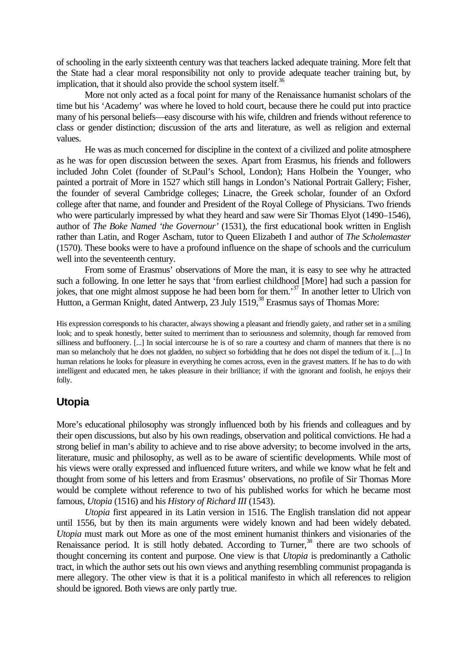of schooling in the early sixteenth century was that teachers lacked adequate training. More felt that the State had a clear moral responsibility not only to provide adequate teacher training but, by implication, that it should also provide the school system itself.<sup>36</sup>

More not only acted as a focal point for many of the Renaissance humanist scholars of the time but his 'Academy' was where he loved to hold court, because there he could put into practice many of his personal beliefs—easy discourse with his wife, children and friends without reference to class or gender distinction; discussion of the arts and literature, as well as religion and external values.

He was as much concerned for discipline in the context of a civilized and polite atmosphere as he was for open discussion between the sexes. Apart from Erasmus, his friends and followers included John Colet (founder of St.Paul's School, London); Hans Holbein the Younger, who painted a portrait of More in 1527 which still hangs in London's National Portrait Gallery; Fisher, the founder of several Cambridge colleges; Linacre, the Greek scholar, founder of an Oxford college after that name, and founder and President of the Royal College of Physicians. Two friends who were particularly impressed by what they heard and saw were Sir Thomas Elyot (1490–1546), author of *The Boke Named 'the Governour'* (1531), the first educational book written in English rather than Latin, and Roger Ascham, tutor to Queen Elizabeth I and author of *The Scholemaster* (1570). These books were to have a profound influence on the shape of schools and the curriculum well into the seventeenth century.

From some of Erasmus' observations of More the man, it is easy to see why he attracted such a following. In one letter he says that 'from earliest childhood [More] had such a passion for jokes, that one might almost suppose he had been born for them.<sup>37</sup> In another letter to Ulrich von Hutton, a German Knight, dated Antwerp, 23 July 1519,<sup>38</sup> Erasmus says of Thomas More:

His expression corresponds to his character, always showing a pleasant and friendly gaiety, and rather set in a smiling look; and to speak honestly, better suited to merriment than to seriousness and solemnity, though far removed from silliness and buffoonery. [...] In social intercourse he is of so rare a courtesy and charm of manners that there is no man so melancholy that he does not gladden, no subject so forbidding that he does not dispel the tedium of it. [...] In human relations he looks for pleasure in everything he comes across, even in the gravest matters. If he has to do with intelligent and educated men, he takes pleasure in their brilliance; if with the ignorant and foolish, he enjoys their folly.

## **Utopia**

More's educational philosophy was strongly influenced both by his friends and colleagues and by their open discussions, but also by his own readings, observation and political convictions. He had a strong belief in man's ability to achieve and to rise above adversity; to become involved in the arts, literature, music and philosophy, as well as to be aware of scientific developments. While most of his views were orally expressed and influenced future writers, and while we know what he felt and thought from some of his letters and from Erasmus' observations, no profile of Sir Thomas More would be complete without reference to two of his published works for which he became most famous, *Utopia* (1516) and his *History of Richard III* (1543).

*Utopia* first appeared in its Latin version in 1516. The English translation did not appear until 1556, but by then its main arguments were widely known and had been widely debated. *Utopia* must mark out More as one of the most eminent humanist thinkers and visionaries of the Renaissance period. It is still hotly debated. According to Turner,<sup>38</sup> there are two schools of thought concerning its content and purpose. One view is that *Utopia* is predominantly a Catholic tract, in which the author sets out his own views and anything resembling communist propaganda is mere allegory. The other view is that it is a political manifesto in which all references to religion should be ignored. Both views are only partly true.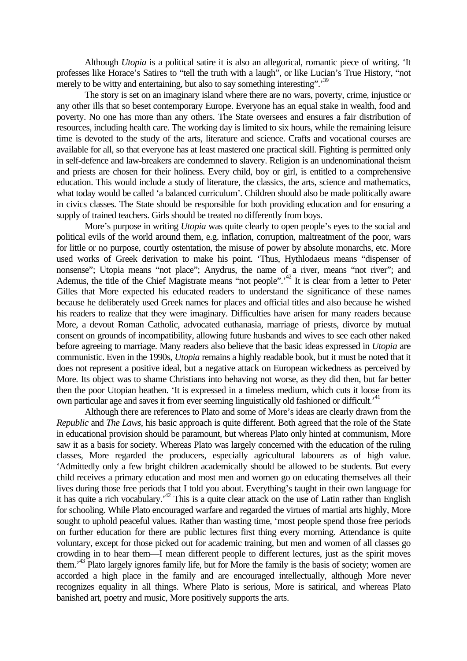Although *Utopia* is a political satire it is also an allegorical, romantic piece of writing. 'It professes like Horace's Satires to "tell the truth with a laugh", or like Lucian's True History, "not merely to be witty and entertaining, but also to say something interesting".<sup>39</sup>

The story is set on an imaginary island where there are no wars, poverty, crime, injustice or any other ills that so beset contemporary Europe. Everyone has an equal stake in wealth, food and poverty. No one has more than any others. The State oversees and ensures a fair distribution of resources, including health care. The working day is limited to six hours, while the remaining leisure time is devoted to the study of the arts, literature and science. Crafts and vocational courses are available for all, so that everyone has at least mastered one practical skill. Fighting is permitted only in self-defence and law-breakers are condemned to slavery. Religion is an undenominational theism and priests are chosen for their holiness. Every child, boy or girl, is entitled to a comprehensive education. This would include a study of literature, the classics, the arts, science and mathematics, what today would be called 'a balanced curriculum'. Children should also be made politically aware in civics classes. The State should be responsible for both providing education and for ensuring a supply of trained teachers. Girls should be treated no differently from boys.

More's purpose in writing *Utopia* was quite clearly to open people's eyes to the social and political evils of the world around them, e.g. inflation, corruption, maltreatment of the poor, wars for little or no purpose, courtly ostentation, the misuse of power by absolute monarchs, etc. More used works of Greek derivation to make his point. 'Thus, Hythlodaeus means "dispenser of nonsense"; Utopia means "not place"; Anydrus, the name of a river, means "not river"; and Ademus, the title of the Chief Magistrate means "not people".<sup>42</sup> It is clear from a letter to Peter Gilles that More expected his educated readers to understand the significance of these names because he deliberately used Greek names for places and official titles and also because he wished his readers to realize that they were imaginary. Difficulties have arisen for many readers because More, a devout Roman Catholic, advocated euthanasia, marriage of priests, divorce by mutual consent on grounds of incompatibility, allowing future husbands and wives to see each other naked before agreeing to marriage. Many readers also believe that the basic ideas expressed in *Utopia* are communistic. Even in the 1990s, *Utopia* remains a highly readable book, but it must be noted that it does not represent a positive ideal, but a negative attack on European wickedness as perceived by More. Its object was to shame Christians into behaving not worse, as they did then, but far better then the poor Utopian heathen. 'It is expressed in a timeless medium, which cuts it loose from its own particular age and saves it from ever seeming linguistically old fashioned or difficult.<sup>41</sup>

Although there are references to Plato and some of More's ideas are clearly drawn from the *Republic* and *The Laws*, his basic approach is quite different. Both agreed that the role of the State in educational provision should be paramount, but whereas Plato only hinted at communism, More saw it as a basis for society. Whereas Plato was largely concerned with the education of the ruling classes, More regarded the producers, especially agricultural labourers as of high value. 'Admittedly only a few bright children academically should be allowed to be students. But every child receives a primary education and most men and women go on educating themselves all their lives during those free periods that I told you about. Everything's taught in their own language for it has quite a rich vocabulary.<sup>42</sup> This is a quite clear attack on the use of Latin rather than English for schooling. While Plato encouraged warfare and regarded the virtues of martial arts highly, More sought to uphold peaceful values. Rather than wasting time, 'most people spend those free periods on further education for there are public lectures first thing every morning. Attendance is quite voluntary, except for those picked out for academic training, but men and women of all classes go crowding in to hear them—I mean different people to different lectures, just as the spirit moves them.'<sup>43</sup> Plato largely ignores family life, but for More the family is the basis of society; women are accorded a high place in the family and are encouraged intellectually, although More never recognizes equality in all things. Where Plato is serious, More is satirical, and whereas Plato banished art, poetry and music, More positively supports the arts.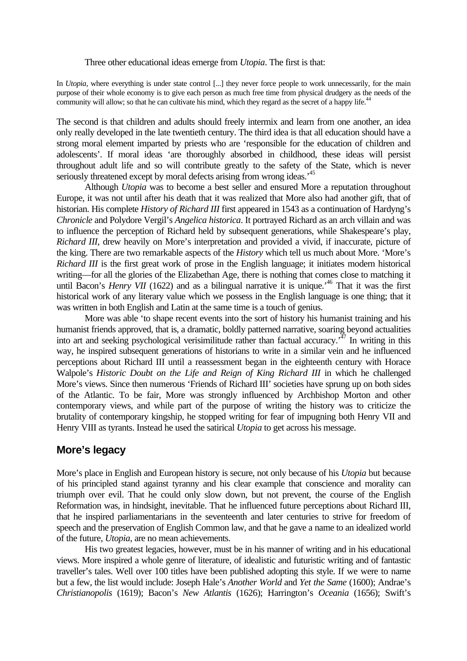#### Three other educational ideas emerge from *Utopia*. The first is that:

In *Utopia*, where everything is under state control [...] they never force people to work unnecessarily, for the main purpose of their whole economy is to give each person as much free time from physical drudgery as the needs of the community will allow; so that he can cultivate his mind, which they regard as the secret of a happy life.<sup>44</sup>

The second is that children and adults should freely intermix and learn from one another, an idea only really developed in the late twentieth century. The third idea is that all education should have a strong moral element imparted by priests who are 'responsible for the education of children and adolescents'. If moral ideas 'are thoroughly absorbed in childhood, these ideas will persist throughout adult life and so will contribute greatly to the safety of the State, which is never seriously threatened except by moral defects arising from wrong ideas.<sup>45</sup>

Although *Utopia* was to become a best seller and ensured More a reputation throughout Europe, it was not until after his death that it was realized that More also had another gift, that of historian. His complete *History of Richard III* first appeared in 1543 as a continuation of Hardyng's *Chronicle* and Polydore Vergil's *Angelica historica*. It portrayed Richard as an arch villain and was to influence the perception of Richard held by subsequent generations, while Shakespeare's play, *Richard III*, drew heavily on More's interpretation and provided a vivid, if inaccurate, picture of the king. There are two remarkable aspects of the *History* which tell us much about More. 'More's *Richard III* is the first great work of prose in the English language; it initiates modern historical writing—for all the glories of the Elizabethan Age, there is nothing that comes close to matching it until Bacon's *Henry VII* (1622) and as a bilingual narrative it is unique.<sup>46</sup> That it was the first historical work of any literary value which we possess in the English language is one thing; that it was written in both English and Latin at the same time is a touch of genius.

More was able 'to shape recent events into the sort of history his humanist training and his humanist friends approved, that is, a dramatic, boldly patterned narrative, soaring beyond actualities into art and seeking psychological verisimilitude rather than factual accuracy.<sup> $47$ </sup> In writing in this way, he inspired subsequent generations of historians to write in a similar vein and he influenced perceptions about Richard III until a reassessment began in the eighteenth century with Horace Walpole's *Historic Doubt on the Life and Reign of King Richard III* in which he challenged More's views. Since then numerous 'Friends of Richard III' societies have sprung up on both sides of the Atlantic. To be fair, More was strongly influenced by Archbishop Morton and other contemporary views, and while part of the purpose of writing the history was to criticize the brutality of contemporary kingship, he stopped writing for fear of impugning both Henry VII and Henry VIII as tyrants. Instead he used the satirical *Utopia* to get across his message.

### **More's legacy**

More's place in English and European history is secure, not only because of his *Utopia* but because of his principled stand against tyranny and his clear example that conscience and morality can triumph over evil. That he could only slow down, but not prevent, the course of the English Reformation was, in hindsight, inevitable. That he influenced future perceptions about Richard III, that he inspired parliamentarians in the seventeenth and later centuries to strive for freedom of speech and the preservation of English Common law, and that he gave a name to an idealized world of the future, *Utopia*, are no mean achievements.

His two greatest legacies, however, must be in his manner of writing and in his educational views. More inspired a whole genre of literature, of idealistic and futuristic writing and of fantastic traveller's tales. Well over 100 titles have been published adopting this style. If we were to name but a few, the list would include: Joseph Hale's *Another World* and *Yet the Same* (1600); Andrae's *Christianopolis* (1619); Bacon's *New Atlantis* (1626); Harrington's *Oceania* (1656); Swift's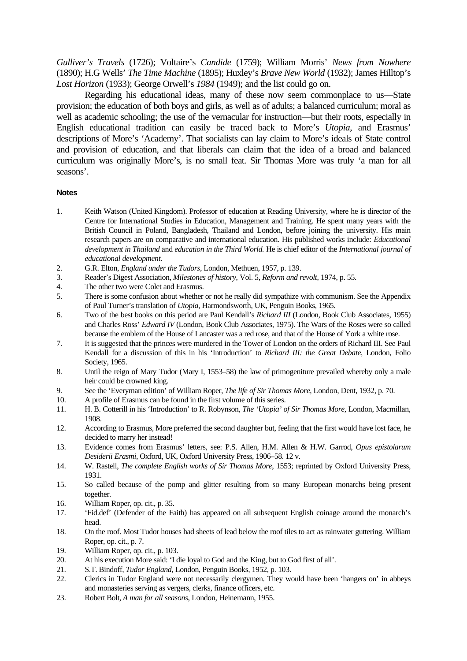*Gulliver's Travels* (1726); Voltaire's *Candide* (1759); William Morris' *News from Nowhere* (1890); H.G Wells' *The Time Machine* (1895); Huxley's *Brave New World* (1932); James Hilltop's *Lost Horizon* (1933); George Orwell's *1984* (1949); and the list could go on.

Regarding his educational ideas, many of these now seem commonplace to us—State provision; the education of both boys and girls, as well as of adults; a balanced curriculum; moral as well as academic schooling; the use of the vernacular for instruction—but their roots, especially in English educational tradition can easily be traced back to More's *Utopia*, and Erasmus' descriptions of More's 'Academy'. That socialists can lay claim to More's ideals of State control and provision of education, and that liberals can claim that the idea of a broad and balanced curriculum was originally More's, is no small feat. Sir Thomas More was truly 'a man for all seasons'.

#### **Notes**

- 1. Keith Watson (United Kingdom). Professor of education at Reading University, where he is director of the Centre for International Studies in Education, Management and Training. He spent many years with the British Council in Poland, Bangladesh, Thailand and London, before joining the university. His main research papers are on comparative and international education. His published works include: *Educational development in Thailand* and *education in the Third World.* He is chief editor of the *International journal of educational development.*
- 2. G.R. Elton, *England under the Tudors*, London, Methuen, 1957, p. 139.
- 3. Reader's Digest Association, *Milestones of history*, Vol. 5, *Reform and revolt*, 1974, p. 55.
- 4. The other two were Colet and Erasmus.
- 5. There is some confusion about whether or not he really did sympathize with communism. See the Appendix of Paul Turner's translation of *Utopia*, Harmondsworth, UK, Penguin Books, 1965.
- 6. Two of the best books on this period are Paul Kendall's *Richard III* (London, Book Club Associates, 1955) and Charles Ross' *Edward IV* (London, Book Club Associates, 1975). The Wars of the Roses were so called because the emblem of the House of Lancaster was a red rose, and that of the House of York a white rose.
- 7. It is suggested that the princes were murdered in the Tower of London on the orders of Richard III. See Paul Kendall for a discussion of this in his 'Introduction' to *Richard III: the Great Debate*, London, Folio Society, 1965.
- 8. Until the reign of Mary Tudor (Mary I, 1553–58) the law of primogeniture prevailed whereby only a male heir could be crowned king.
- 9. See the 'Everyman edition' of William Roper, *The life of Sir Thomas More*, London, Dent, 1932, p. 70.
- 10. A profile of Erasmus can be found in the first volume of this series.
- 11. H. B. Cotterill in his 'Introduction' to R. Robynson, *The 'Utopia' of Sir Thomas More*, London, Macmillan, 1908.
- 12. According to Erasmus, More preferred the second daughter but, feeling that the first would have lost face, he decided to marry her instead!
- 13. Evidence comes from Erasmus' letters, see: P.S. Allen, H.M. Allen & H.W. Garrod, *Opus epistolarum Desiderii Erasmi*, Oxford, UK, Oxford University Press, 1906–58. 12 v.
- 14. W. Rastell, *The complete English works of Sir Thomas More*, 1553; reprinted by Oxford University Press, 1931.
- 15. So called because of the pomp and glitter resulting from so many European monarchs being present together.
- 16. William Roper, op. cit., p. 35.
- 17. 'Fid.def' (Defender of the Faith) has appeared on all subsequent English coinage around the monarch's head.
- 18. On the roof. Most Tudor houses had sheets of lead below the roof tiles to act as rainwater guttering. William Roper, op. cit., p. 7.
- 19. William Roper, op. cit., p. 103.
- 20. At his execution More said: 'I die loyal to God and the King, but to God first of all'.
- 21. S.T. Bindoff, *Tudor England*, London, Penguin Books, 1952, p. 103.
- 22. Clerics in Tudor England were not necessarily clergymen. They would have been 'hangers on' in abbeys and monasteries serving as vergers, clerks, finance officers, etc.
- 23. Robert Bolt, *A man for all seasons*, London, Heinemann, 1955.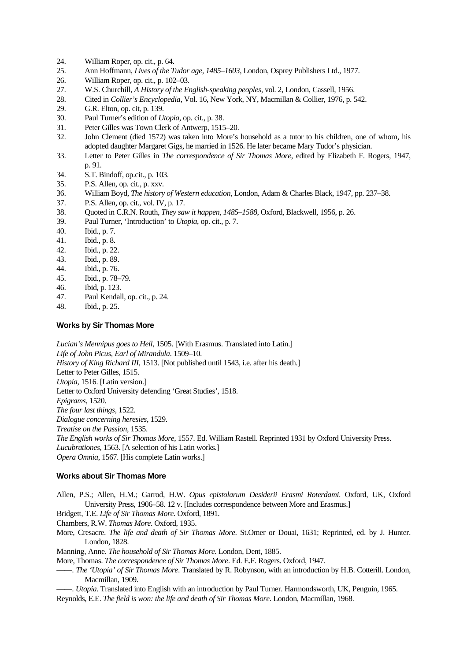- 24. William Roper, op. cit., p. 64.
- 25. Ann Hoffmann, *Lives of the Tudor age, 1485–1603*, London, Osprey Publishers Ltd., 1977.
- 26. William Roper, op. cit., p. 102–03.
- 27. W.S. Churchill, *A History of the English-speaking peoples,* vol. 2, London, Cassell, 1956.
- 28. Cited in *Collier's Encyclopedia*, Vol. 16, New York, NY, Macmillan & Collier, 1976, p. 542.
- 29. G.R. Elton, op. cit, p. 139.
- 30. Paul Turner's edition of *Utopia*, op. cit., p. 38.
- 31. Peter Gilles was Town Clerk of Antwerp, 1515–20.
- 32. John Clement (died 1572) was taken into More's household as a tutor to his children, one of whom, his adopted daughter Margaret Gigs, he married in 1526. He later became Mary Tudor's physician.
- 33. Letter to Peter Gilles in *The correspondence of Sir Thomas More*, edited by Elizabeth F. Rogers, 1947, p. 91.
- 34. S.T. Bindoff, op.cit., p. 103.
- 35. P.S. Allen, op. cit., p. xxv.
- 36. William Boyd, *The history of Western education*, London, Adam & Charles Black, 1947, pp. 237–38.
- 37. P.S. Allen, op. cit., vol. IV, p. 17.
- 38. Quoted in C.R.N. Routh, *They saw it happen, 1485–1588*, Oxford, Blackwell, 1956, p. 26.
- 39. Paul Turner, 'Introduction' to *Utopia*, op. cit., p. 7.
- 40. Ibid., p. 7.
- 41. Ibid., p. 8.
- 42. Ibid., p. 22.
- 43. Ibid., p. 89.
- 44. Ibid., p. 76.
- 45. Ibid., p. 78–79.
- 46. Ibid, p. 123.
- 47. Paul Kendall, op. cit., p. 24.
- 48. Ibid., p. 25.

#### **Works by Sir Thomas More**

*Lucian's Mennipus goes to Hell*, 1505. [With Erasmus. Translated into Latin.] *Life of John Picus, Earl of Mirandula*. 1509–10. *History of King Richard III*, 1513. [Not published until 1543, i.e. after his death.] Letter to Peter Gilles, 1515. *Utopia*, 1516. [Latin version.] Letter to Oxford University defending 'Great Studies', 1518. *Epigrams*, 1520. *The four last things*, 1522. *Dialogue concerning heresies*, 1529. *Treatise on the Passion*, 1535. *The English works of Sir Thomas More*, 1557. Ed. William Rastell. Reprinted 1931 by Oxford University Press. *Lucubrationes*, 1563. [A selection of his Latin works.] *Opera Omnia*, 1567. [His complete Latin works.]

#### **Works about Sir Thomas More**

Allen, P.S.; Allen, H.M.; Garrod, H.W. *Opus epistolarum Desiderii Erasmi Roterdami*. Oxford, UK, Oxford University Press, 1906–58. 12 v. [Includes correspondence between More and Erasmus.]

Bridgett, T.E. *Life of Sir Thomas More*. Oxford, 1891.

Chambers, R.W. *Thomas More*. Oxford, 1935.

More, Cresacre. *The life and death of Sir Thomas More*. St.Omer or Douai, 1631; Reprinted, ed. by J. Hunter. London, 1828.

Manning, Anne. *The household of Sir Thomas More*. London, Dent, 1885.

- More, Thomas. *The correspondence of Sir Thomas More*. Ed. E.F. Rogers. Oxford, 1947.
- ——. *The 'Utopia' of Sir Thomas More*. Translated by R. Robynson, with an introduction by H.B. Cotterill. London, Macmillan, 1909.
- ——. *Utopia.* Translated into English with an introduction by Paul Turner. Harmondsworth, UK, Penguin, 1965. Reynolds, E.E. *The field is won: the life and death of Sir Thomas More*. London, Macmillan, 1968.